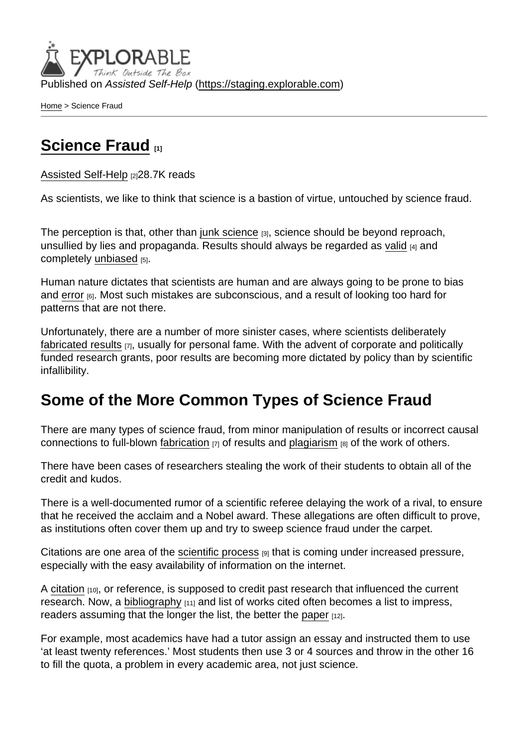Published on Assisted Self-Help [\(https://staging.explorable.com](https://staging.explorable.com))

[Home](https://staging.explorable.com/en) > Science Fraud

## [Science Fraud](https://staging.explorable.com/en/science-fraud) [1]

[Assisted Self-Help](https://staging.explorable.com/en) [2]28.7K reads

As scientists, we like to think that science is a bastion of virtue, untouched by science fraud.

The perception is that, other than [junk science](https://staging.explorable.com/junk-science) [3], science should be beyond reproach, unsullied by lies and propaganda. Results should always be regarded as [valid](https://staging.explorable.com/types-of-validity) [4] and completely [unbiased](https://staging.explorable.com/research-bias) [5].

Human nature dictates that scientists are human and are always going to be prone to bias and [error](https://staging.explorable.com/type-I-error) [6]. Most such mistakes are subconscious, and a result of looking too hard for patterns that are not there.

Unfortunately, there are a number of more sinister cases, where scientists deliberately [fabricated results](https://staging.explorable.com/scientific-falsification) [7], usually for personal fame. With the advent of corporate and politically funded research grants, poor results are becoming more dictated by policy than by scientific infallibility.

## Some of the More Common Types of Science Fraud

There are many types of science fraud, from minor manipulation of results or incorrect causal connections to full-blown [fabrication](https://staging.explorable.com/scientific-falsification)  $[7]$  of results and [plagiarism](https://staging.explorable.com/academic-plagiarism)  $[8]$  of the work of others.

There have been cases of researchers stealing the work of their students to obtain all of the credit and kudos.

There is a well-documented rumor of a scientific referee delaying the work of a rival, to ensure that he received the acclaim and a Nobel award. These allegations are often difficult to prove, as institutions often cover them up and try to sweep science fraud under the carpet.

Citations are one area of the [scientific process](https://staging.explorable.com/steps-of-the-scientific-method)  $[9]$  that is coming under increased pressure, especially with the easy availability of information on the internet.

A [citation](https://staging.explorable.com/in-text-citation)  $[10]$ , or reference, is supposed to credit past research that influenced the current research. Now, a [bibliography](https://staging.explorable.com/writing-a-bibliography)  $[11]$  and list of works cited often becomes a list to impress, readers assuming that the longer the list, the better the [paper](https://staging.explorable.com/writing-a-research-paper) [12].

For example, most academics have had a tutor assign an essay and instructed them to use 'at least twenty references.' Most students then use 3 or 4 sources and throw in the other 16 to fill the quota, a problem in every academic area, not just science.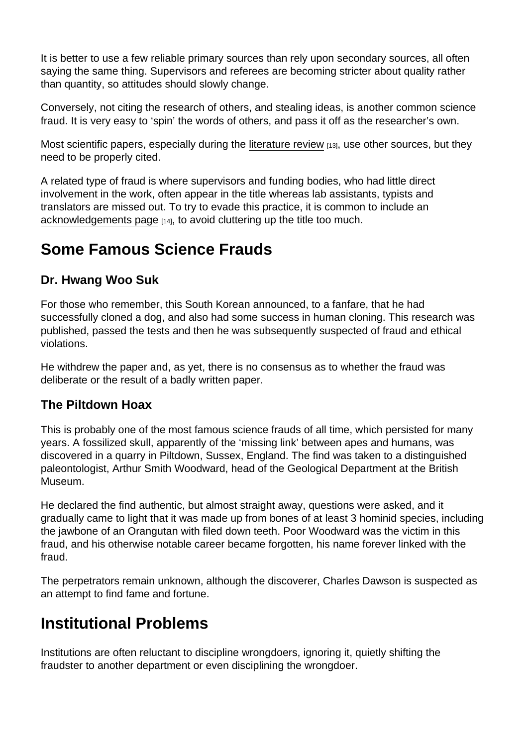It is better to use a few reliable primary sources than rely upon secondary sources, all often saying the same thing. Supervisors and referees are becoming stricter about quality rather than quantity, so attitudes should slowly change.

Conversely, not citing the research of others, and stealing ideas, is another common science fraud. It is very easy to 'spin' the words of others, and pass it off as the researcher's own.

Most scientific papers, especially during the [literature review](https://staging.explorable.com/what-is-a-literature-review) [13], use other sources, but they need to be properly cited.

A related type of fraud is where supervisors and funding bodies, who had little direct involvement in the work, often appear in the title whereas lab assistants, typists and translators are missed out. To try to evade this practice, it is common to include an [acknowledgements page](https://staging.explorable.com/writing-acknowledgements) [14], to avoid cluttering up the title too much.

## Some Famous Science Frauds

### Dr. Hwang Woo Suk

For those who remember, this South Korean announced, to a fanfare, that he had successfully cloned a dog, and also had some success in human cloning. This research was published, passed the tests and then he was subsequently suspected of fraud and ethical violations.

He withdrew the paper and, as yet, there is no consensus as to whether the fraud was deliberate or the result of a badly written paper.

#### The Piltdown Hoax

This is probably one of the most famous science frauds of all time, which persisted for many years. A fossilized skull, apparently of the 'missing link' between apes and humans, was discovered in a quarry in Piltdown, Sussex, England. The find was taken to a distinguished paleontologist, Arthur Smith Woodward, head of the Geological Department at the British Museum.

He declared the find authentic, but almost straight away, questions were asked, and it gradually came to light that it was made up from bones of at least 3 hominid species, including the jawbone of an Orangutan with filed down teeth. Poor Woodward was the victim in this fraud, and his otherwise notable career became forgotten, his name forever linked with the fraud.

The perpetrators remain unknown, although the discoverer, Charles Dawson is suspected as an attempt to find fame and fortune.

## Institutional Problems

Institutions are often reluctant to discipline wrongdoers, ignoring it, quietly shifting the fraudster to another department or even disciplining the wrongdoer.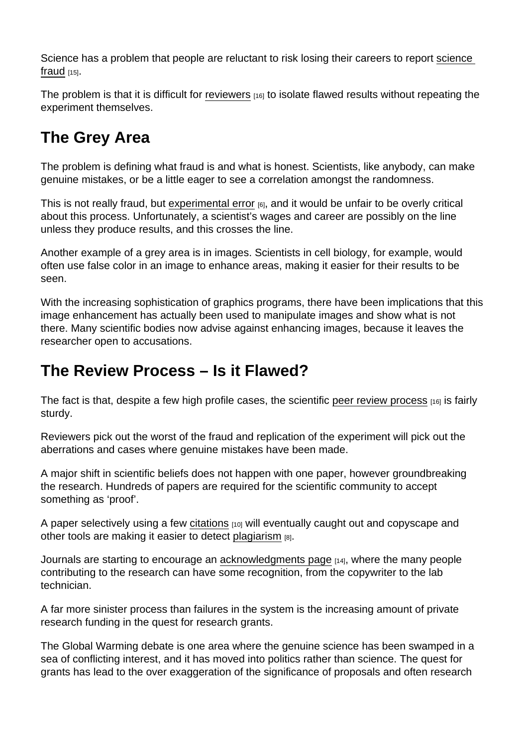Science has a problem that people are reluctant to risk losing their careers to report [science](http://en.wikipedia.org/wiki/Scientific_misconduct)  [fraud](http://en.wikipedia.org/wiki/Scientific_misconduct)  $[15]$ .

The problem is that it is difficult for [reviewers](https://staging.explorable.com/peer-review-process)  $\mu_{6}$  to isolate flawed results without repeating the experiment themselves.

# The Grey Area

The problem is defining what fraud is and what is honest. Scientists, like anybody, can make genuine mistakes, or be a little eager to see a correlation amongst the randomness.

This is not really fraud, but [experimental error](https://staging.explorable.com/type-I-error)  $[6]$ , and it would be unfair to be overly critical about this process. Unfortunately, a scientist's wages and career are possibly on the line unless they produce results, and this crosses the line.

Another example of a grey area is in images. Scientists in cell biology, for example, would often use false color in an image to enhance areas, making it easier for their results to be seen.

With the increasing sophistication of graphics programs, there have been implications that this image enhancement has actually been used to manipulate images and show what is not there. Many scientific bodies now advise against enhancing images, because it leaves the researcher open to accusations.

## The Review Process – Is it Flawed?

The fact is that, despite a few high profile cases, the scientific [peer review process](https://staging.explorable.com/peer-review-process) [16] is fairly sturdy.

Reviewers pick out the worst of the fraud and replication of the experiment will pick out the aberrations and cases where genuine mistakes have been made.

A major shift in scientific beliefs does not happen with one paper, however groundbreaking the research. Hundreds of papers are required for the scientific community to accept something as 'proof'.

A paper selectively using a few [citations](https://staging.explorable.com/in-text-citation) [10] will eventually caught out and copyscape and other tools are making it easier to detect [plagiarism](https://staging.explorable.com/academic-plagiarism) [8].

Journals are starting to encourage an [acknowledgments page](https://staging.explorable.com/writing-acknowledgements) [14], where the many people contributing to the research can have some recognition, from the copywriter to the lab technician.

A far more sinister process than failures in the system is the increasing amount of private research funding in the quest for research grants.

The Global Warming debate is one area where the genuine science has been swamped in a sea of conflicting interest, and it has moved into politics rather than science. The quest for grants has lead to the over exaggeration of the significance of proposals and often research